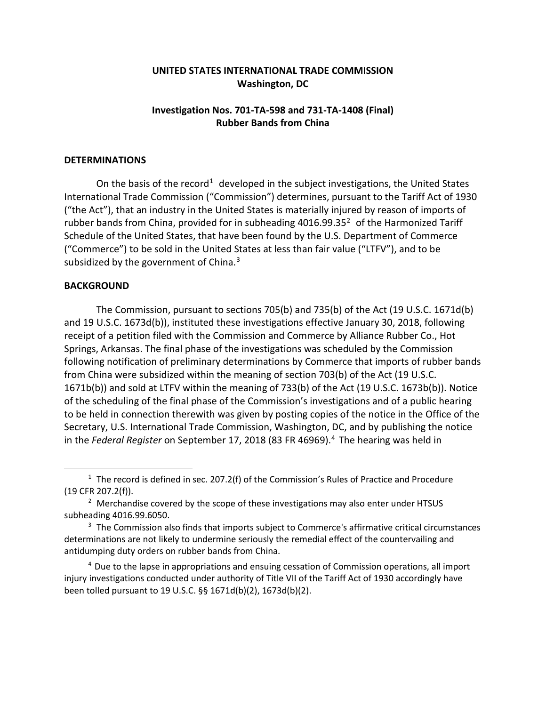## **UNITED STATES INTERNATIONAL TRADE COMMISSION Washington, DC**

## **Investigation Nos. 701-TA-598 and 731-TA-1408 (Final) Rubber Bands from China**

## **DETERMINATIONS**

On the basis of the record<sup>[1](#page-0-0)</sup> developed in the subject investigations, the United States International Trade Commission ("Commission") determines, pursuant to the Tariff Act of 1930 ("the Act"), that an industry in the United States is materially injured by reason of imports of rubber bands from China, provided for in subheading  $4016.99.35<sup>2</sup>$  $4016.99.35<sup>2</sup>$  $4016.99.35<sup>2</sup>$  of the Harmonized Tariff Schedule of the United States, that have been found by the U.S. Department of Commerce ("Commerce") to be sold in the United States at less than fair value ("LTFV"), and to be subsidized by the government of China.<sup>[3](#page-0-2)</sup>

## **BACKGROUND**

 $\overline{a}$ 

The Commission, pursuant to sections 705(b) and 735(b) of the Act (19 U.S.C. 1671d(b) and 19 U.S.C. 1673d(b)), instituted these investigations effective January 30, 2018, following receipt of a petition filed with the Commission and Commerce by Alliance Rubber Co., Hot Springs, Arkansas. The final phase of the investigations was scheduled by the Commission following notification of preliminary determinations by Commerce that imports of rubber bands from China were subsidized within the meaning of section 703(b) of the Act (19 U.S.C. 1671b(b)) and sold at LTFV within the meaning of 733(b) of the Act (19 U.S.C. 1673b(b)). Notice of the scheduling of the final phase of the Commission's investigations and of a public hearing to be held in connection therewith was given by posting copies of the notice in the Office of the Secretary, U.S. International Trade Commission, Washington, DC, and by publishing the notice in the *Federal Register* on September 17, 2018 (83 FR [4](#page-0-3)6969).<sup>4</sup> The hearing was held in

<span id="page-0-3"></span><sup>4</sup> Due to the lapse in appropriations and ensuing cessation of Commission operations, all import injury investigations conducted under authority of Title VII of the Tariff Act of 1930 accordingly have been tolled pursuant to 19 U.S.C. §§ 1671d(b)(2), 1673d(b)(2).

<span id="page-0-0"></span> $1$  The record is defined in sec. 207.2(f) of the Commission's Rules of Practice and Procedure (19 CFR 207.2(f)).

<span id="page-0-1"></span> $<sup>2</sup>$  Merchandise covered by the scope of these investigations may also enter under HTSUS</sup> subheading 4016.99.6050.

<span id="page-0-2"></span> $3$  The Commission also finds that imports subject to Commerce's affirmative critical circumstances determinations are not likely to undermine seriously the remedial effect of the countervailing and antidumping duty orders on rubber bands from China.